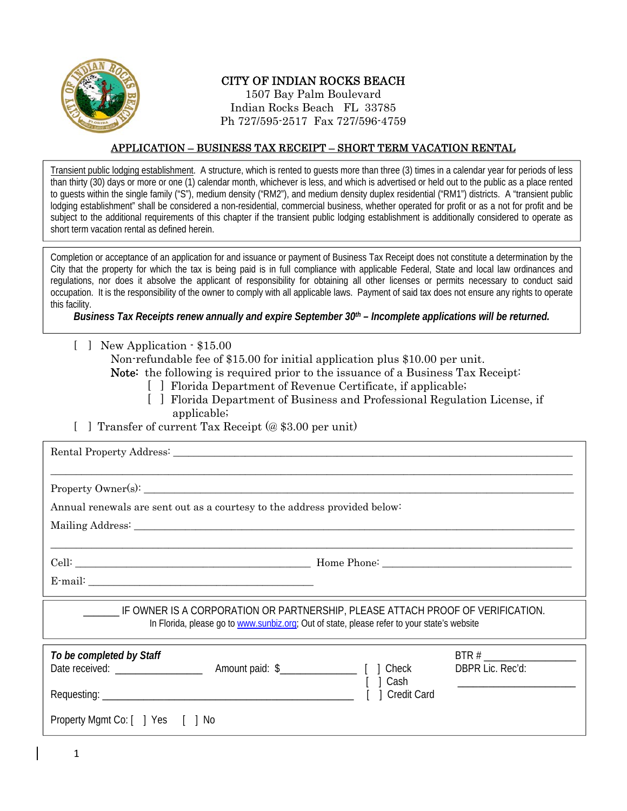

# CITY OF INDIAN ROCKS BEACH

1507 Bay Palm Boulevard Indian Rocks Beach FL 33785 Ph 727/595-2517 Fax 727/596-4759

#### APPLICATION – BUSINESS TAX RECEIPT – SHORT TERM VACATION RENTAL

 $\overline{a}$  Transient public lodging establishment. A structure, which is rented to guests more than three (3) times in a calendar year for periods of less than thirty (30) days or more or one (1) calendar month, whichever is less, and which is advertised or held out to the public as a place rented to guests within the single family ("S"), medium density ("RM2"), and medium density duplex residential ("RM1") districts. A "transient public lodging establishment" shall be considered a non-residential, commercial business, whether operated for profit or as a not for profit and be subject to the additional requirements of this chapter if the transient public lodging establishment is additionally considered to operate as short term vacation rental as defined herein.

 $\overline{a}$  Completion or acceptance of an application for and issuance or payment of Business Tax Receipt does not constitute a determination by the City that the property for which the tax is being paid is in full compliance with applicable Federal, State and local law ordinances and regulations, nor does it absolve the applicant of responsibility for obtaining all other licenses or permits necessary to conduct said occupation. It is the responsibility of the owner to comply with all applicable laws. Payment of said tax does not ensure any rights to operate  $\overline{a}$ this facility.

 *Business Tax Receipts renew annually and expire September 30th – Incomplete applications will be returned.*   $\overline{a}$ 

[ ] New Application - \$15.00

Non-refundable fee of \$15.00 for initial application plus \$10.00 per unit.

Note: the following is required prior to the issuance of a Business Tax Receipt:

- [ ] Florida Department of Revenue Certificate, if applicable;
- [ ] Florida Department of Business and Professional Regulation License, if applicable;
- [ ] Transfer of current Tax Receipt (@ \$3.00 per unit)

| Annual renewals are sent out as a courtesy to the address provided below:                                                                                                     |                                                                                                                                                                                                                                                                                             |  |  |  |  |
|-------------------------------------------------------------------------------------------------------------------------------------------------------------------------------|---------------------------------------------------------------------------------------------------------------------------------------------------------------------------------------------------------------------------------------------------------------------------------------------|--|--|--|--|
|                                                                                                                                                                               |                                                                                                                                                                                                                                                                                             |  |  |  |  |
|                                                                                                                                                                               |                                                                                                                                                                                                                                                                                             |  |  |  |  |
|                                                                                                                                                                               |                                                                                                                                                                                                                                                                                             |  |  |  |  |
|                                                                                                                                                                               |                                                                                                                                                                                                                                                                                             |  |  |  |  |
| IF OWNER IS A CORPORATION OR PARTNERSHIP, PLEASE ATTACH PROOF OF VERIFICATION.<br>In Florida, please go to www.sunbiz.org; Out of state, please refer to your state's website |                                                                                                                                                                                                                                                                                             |  |  |  |  |
| To be completed by Staff                                                                                                                                                      | BTR#<br>DBPR Lic. Rec'd:<br>  Cash<br><u> 1989 - Johann Stoff, deutscher Stoffen und der Stoffen und der Stoffen und der Stoffen und der Stoffen und der Stoffen und der Stoffen und der Stoffen und der Stoffen und der Stoffen und der Stoffen und der Stoffen und d</u><br>1 Credit Card |  |  |  |  |
| Property Mgmt Co: [ ] Yes [ ] No                                                                                                                                              |                                                                                                                                                                                                                                                                                             |  |  |  |  |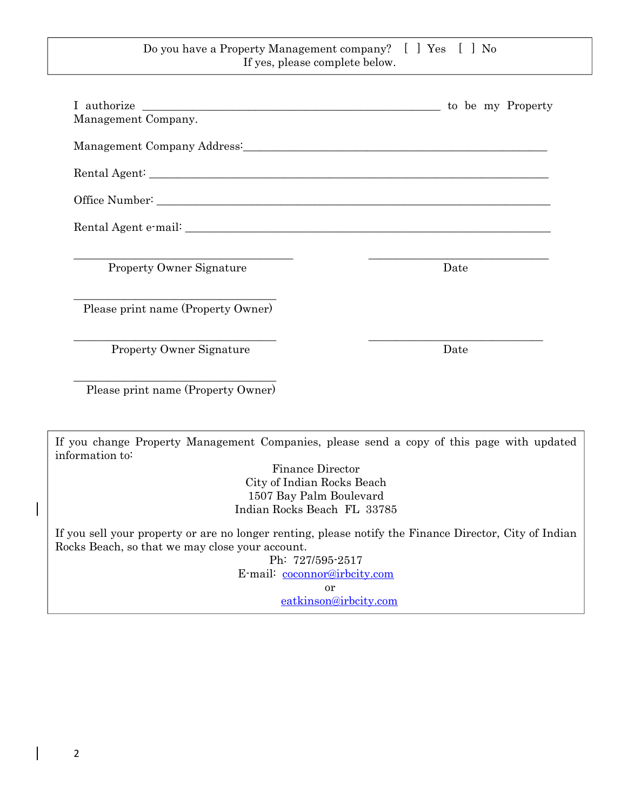### Do you have a Property Management company? [ ] Yes [ ] No If yes, please complete below.

I authorize \_\_\_\_\_\_\_\_\_\_\_\_\_\_\_\_\_\_\_\_\_\_\_\_\_\_\_\_\_\_\_\_\_\_\_\_\_\_\_\_\_\_\_\_\_\_\_\_\_\_\_\_\_ to be my Property Management Company. Management Company Address: Rental Agent: \_\_\_\_\_\_\_\_\_\_\_\_\_\_\_\_\_\_\_\_\_\_\_\_\_\_\_\_\_\_\_\_\_\_\_\_\_\_\_\_\_\_\_\_\_\_\_\_\_\_\_\_\_\_\_\_\_\_\_\_\_\_\_\_\_\_\_\_\_\_\_ Office Number: Rental Agent e-mail: \_\_\_\_\_\_\_\_\_\_\_\_\_\_\_\_\_\_\_\_\_\_\_\_\_\_\_\_\_\_\_\_\_\_\_\_\_\_\_\_\_\_\_\_\_\_\_\_\_\_\_\_\_\_\_\_\_\_\_\_\_\_\_\_\_ \_\_\_\_\_\_\_\_\_\_\_\_\_\_\_\_\_\_\_\_\_\_\_\_\_\_\_\_\_\_\_\_\_\_\_\_\_\_\_ \_\_\_\_\_\_\_\_\_\_\_\_\_\_\_\_\_\_\_\_\_\_\_\_\_\_\_\_\_\_\_\_ Property Owner Signature Date \_\_\_\_\_\_\_\_\_\_\_\_\_\_\_\_\_\_\_\_\_\_\_\_\_\_\_\_\_\_\_\_\_\_\_\_ Please print name (Property Owner) \_\_\_\_\_\_\_\_\_\_\_\_\_\_\_\_\_\_\_\_\_\_\_\_\_\_\_\_\_\_\_\_\_\_\_\_ \_\_\_\_\_\_\_\_\_\_\_\_\_\_\_\_\_\_\_\_\_\_\_\_\_\_\_\_\_\_\_ Property Owner Signature Date \_\_\_\_\_\_\_\_\_\_\_\_\_\_\_\_\_\_\_\_\_\_\_\_\_\_\_\_\_\_\_\_\_\_\_\_ Please print name (Property Owner) If you change Property Management Companies, please send a copy of this page with updated information to: Finance Director City of Indian Rocks Beach 1507 Bay Palm Boulevard Indian Rocks Beach FL 33785

If you sell your property or are no longer renting, please notify the Finance Director, City of Indian Rocks Beach, so that we may close your account.

Ph: 727/595-2517 E-mail: coconnor@irbcity.com or

eatkinson@irbcity.com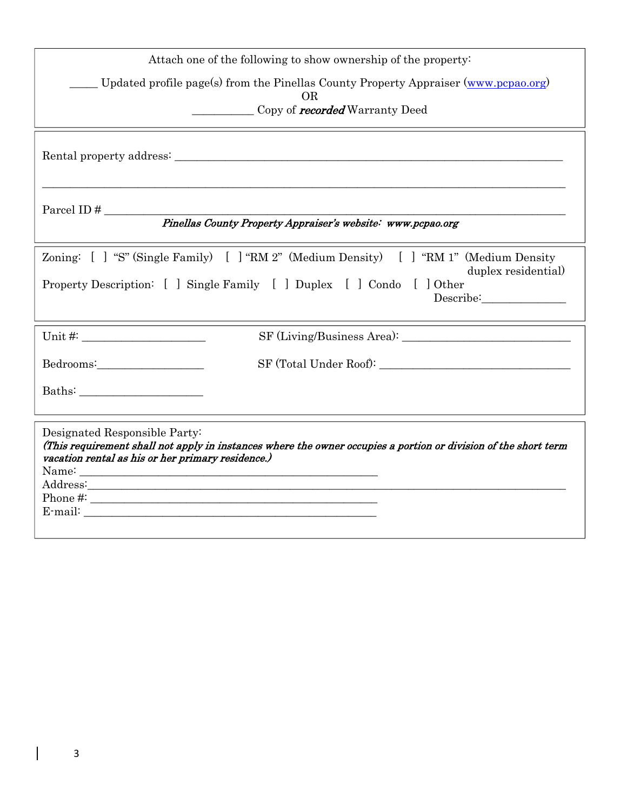| Attach one of the following to show ownership of the property:                                                                                                                                                                                                                                                                                                                                                                                                                                                                                                                                               |  |  |  |  |
|--------------------------------------------------------------------------------------------------------------------------------------------------------------------------------------------------------------------------------------------------------------------------------------------------------------------------------------------------------------------------------------------------------------------------------------------------------------------------------------------------------------------------------------------------------------------------------------------------------------|--|--|--|--|
| Updated profile page(s) from the Pinellas County Property Appraiser (www.pcpao.org)<br>OR.                                                                                                                                                                                                                                                                                                                                                                                                                                                                                                                   |  |  |  |  |
| Copy of <b>recorded</b> Warranty Deed                                                                                                                                                                                                                                                                                                                                                                                                                                                                                                                                                                        |  |  |  |  |
|                                                                                                                                                                                                                                                                                                                                                                                                                                                                                                                                                                                                              |  |  |  |  |
| Parcel ID $#$                                                                                                                                                                                                                                                                                                                                                                                                                                                                                                                                                                                                |  |  |  |  |
| Pinellas County Property Appraiser's website: www.pcpao.org                                                                                                                                                                                                                                                                                                                                                                                                                                                                                                                                                  |  |  |  |  |
| Zoning: [] "S" (Single Family) [] "RM 2" (Medium Density) [] "RM 1" (Medium Density<br>duplex residential)                                                                                                                                                                                                                                                                                                                                                                                                                                                                                                   |  |  |  |  |
| Property Description: [ ] Single Family [ ] Duplex [ ] Condo [ ] Other                                                                                                                                                                                                                                                                                                                                                                                                                                                                                                                                       |  |  |  |  |
|                                                                                                                                                                                                                                                                                                                                                                                                                                                                                                                                                                                                              |  |  |  |  |
| $\begin{minipage}{.4\linewidth} \begin{tabular}{l} \bf SF (Total Under Root): \end{tabular} \end{minipage}$<br>Bedrooms:                                                                                                                                                                                                                                                                                                                                                                                                                                                                                     |  |  |  |  |
| $\textbf{Baths:}\underline{\hspace{2cm}}\underline{\hspace{2cm}}\underline{\hspace{2cm}}\underline{\hspace{2cm}}\underline{\hspace{2cm}}\underline{\hspace{2cm}}\underline{\hspace{2cm}}\underline{\hspace{2cm}}\underline{\hspace{2cm}}\underline{\hspace{2cm}}\underline{\hspace{2cm}}\underline{\hspace{2cm}}\underline{\hspace{2cm}}\underline{\hspace{2cm}}\underline{\hspace{2cm}}\underline{\hspace{2cm}}\underline{\hspace{2cm}}\underline{\hspace{2cm}}\underline{\hspace{2cm}}\underline{\hspace{2cm}}\underline{\hspace{2cm}}\underline{\hspace{2cm}}\underline{\hspace{2cm}}\underline{\hspace{$ |  |  |  |  |
| Designated Responsible Party:<br>(This requirement shall not apply in instances where the owner occupies a portion or division of the short term<br>vacation rental as his or her primary residence.)<br>Phone $\#$ :                                                                                                                                                                                                                                                                                                                                                                                        |  |  |  |  |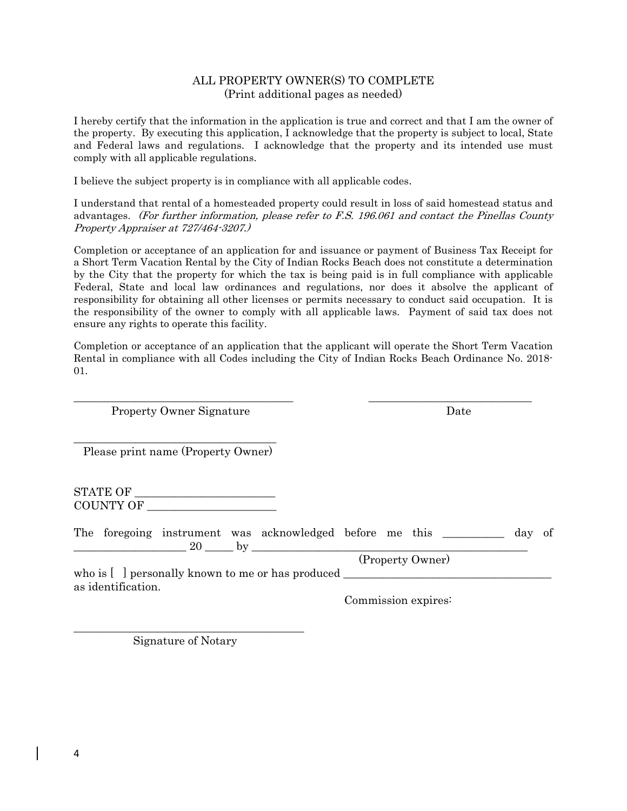### ALL PROPERTY OWNER(S) TO COMPLETE (Print additional pages as needed)

I hereby certify that the information in the application is true and correct and that I am the owner of the property. By executing this application, I acknowledge that the property is subject to local, State and Federal laws and regulations. I acknowledge that the property and its intended use must comply with all applicable regulations.

I believe the subject property is in compliance with all applicable codes.

I understand that rental of a homesteaded property could result in loss of said homestead status and advantages. (For further information, please refer to F.S. 196.061 and contact the Pinellas County Property Appraiser at 727/464-3207.)

Completion or acceptance of an application for and issuance or payment of Business Tax Receipt for a Short Term Vacation Rental by the City of Indian Rocks Beach does not constitute a determination by the City that the property for which the tax is being paid is in full compliance with applicable Federal, State and local law ordinances and regulations, nor does it absolve the applicant of responsibility for obtaining all other licenses or permits necessary to conduct said occupation. It is the responsibility of the owner to comply with all applicable laws. Payment of said tax does not ensure any rights to operate this facility.

Completion or acceptance of an application that the applicant will operate the Short Term Vacation Rental in compliance with all Codes including the City of Indian Rocks Beach Ordinance No. 2018- 01.

\_\_\_\_\_\_\_\_\_\_\_\_\_\_\_\_\_\_\_\_\_\_\_\_\_\_\_\_\_\_\_\_\_\_\_\_\_\_\_ \_\_\_\_\_\_\_\_\_\_\_\_\_\_\_\_\_\_\_\_\_\_\_\_\_\_\_\_\_

Property Owner Signature Date

\_\_\_\_\_\_\_\_\_\_\_\_\_\_\_\_\_\_\_\_\_\_\_\_\_\_\_\_\_\_\_\_\_\_\_\_ Please print name (Property Owner)

STATE OF COUNTY OF \_\_\_\_\_\_\_\_\_\_\_\_\_\_\_\_\_\_\_\_\_\_\_

|  |  | The foregoing instrument was acknowledged before me this                                                                                                                                                                                                 |  |                  | day of |  |
|--|--|----------------------------------------------------------------------------------------------------------------------------------------------------------------------------------------------------------------------------------------------------------|--|------------------|--------|--|
|  |  |                                                                                                                                                                                                                                                          |  |                  |        |  |
|  |  |                                                                                                                                                                                                                                                          |  | (Property Owner) |        |  |
|  |  | $\mu$ bo is $\left[$ and $\mu$ por $\mu$ and $\mu$ and $\mu$ and $\mu$ and $\mu$ and $\mu$ and $\mu$ and $\mu$ and $\mu$ and $\mu$ and $\mu$ and $\mu$ and $\mu$ and $\mu$ and $\mu$ and $\mu$ and $\mu$ and $\mu$ and $\mu$ and $\mu$ and $\mu$ and $\$ |  |                  |        |  |

who is [  $\;$  ] personally known to me or has produced  $_{\cdot}$ as identification.

Commission expires:

\_\_\_\_\_\_\_\_\_\_\_\_\_\_\_\_\_\_\_\_\_\_\_\_\_\_\_\_\_\_\_\_\_\_\_\_\_\_\_\_\_ Signature of Notary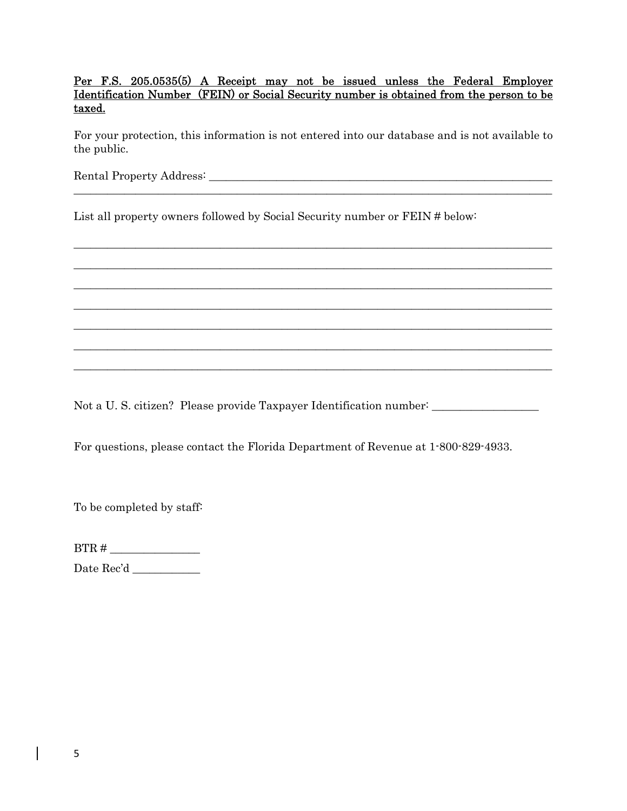Per F.S. 205.0535(5) A Receipt may not be issued unless the Federal Employer Identification Number (FEIN) or Social Security number is obtained from the person to be taxed.

For your protection, this information is not entered into our database and is not available to the public.

\_\_\_\_\_\_\_\_\_\_\_\_\_\_\_\_\_\_\_\_\_\_\_\_\_\_\_\_\_\_\_\_\_\_\_\_\_\_\_\_\_\_\_\_\_\_\_\_\_\_\_\_\_\_\_\_\_\_\_\_\_\_\_\_\_\_\_\_\_\_\_\_\_\_\_\_\_\_\_\_\_\_\_\_\_

 $\_$  , and the set of the set of the set of the set of the set of the set of the set of the set of the set of the set of the set of the set of the set of the set of the set of the set of the set of the set of the set of th  $\_$  , and the set of the set of the set of the set of the set of the set of the set of the set of the set of the set of the set of the set of the set of the set of the set of the set of the set of the set of the set of th  $\_$  , and the set of the set of the set of the set of the set of the set of the set of the set of the set of the set of the set of the set of the set of the set of the set of the set of the set of the set of the set of th  $\_$  , and the set of the set of the set of the set of the set of the set of the set of the set of the set of the set of the set of the set of the set of the set of the set of the set of the set of the set of the set of th  $\_$  , and the set of the set of the set of the set of the set of the set of the set of the set of the set of the set of the set of the set of the set of the set of the set of the set of the set of the set of the set of th  $\_$  , and the set of the set of the set of the set of the set of the set of the set of the set of the set of the set of the set of the set of the set of the set of the set of the set of the set of the set of the set of th \_\_\_\_\_\_\_\_\_\_\_\_\_\_\_\_\_\_\_\_\_\_\_\_\_\_\_\_\_\_\_\_\_\_\_\_\_\_\_\_\_\_\_\_\_\_\_\_\_\_\_\_\_\_\_\_\_\_\_\_\_\_\_\_\_\_\_\_\_\_\_\_\_\_\_\_\_\_\_\_\_\_\_\_\_

Rental Property Address: \_\_\_\_\_\_\_\_\_\_\_\_\_\_\_\_\_\_\_\_\_\_\_\_\_\_\_\_\_\_\_\_\_\_\_\_\_\_\_\_\_\_\_\_\_\_\_\_\_\_\_\_\_\_\_\_\_\_\_\_\_

List all property owners followed by Social Security number or FEIN # below:

Not a U. S. citizen? Please provide Taxpayer Identification number: \_\_\_\_\_\_\_\_\_\_\_\_

For questions, please contact the Florida Department of Revenue at 1-800-829-4933.

To be completed by staff:

BTR # \_\_\_\_\_\_\_\_\_\_\_\_\_\_\_\_

Date Rec'd \_\_\_\_\_\_\_\_\_\_\_\_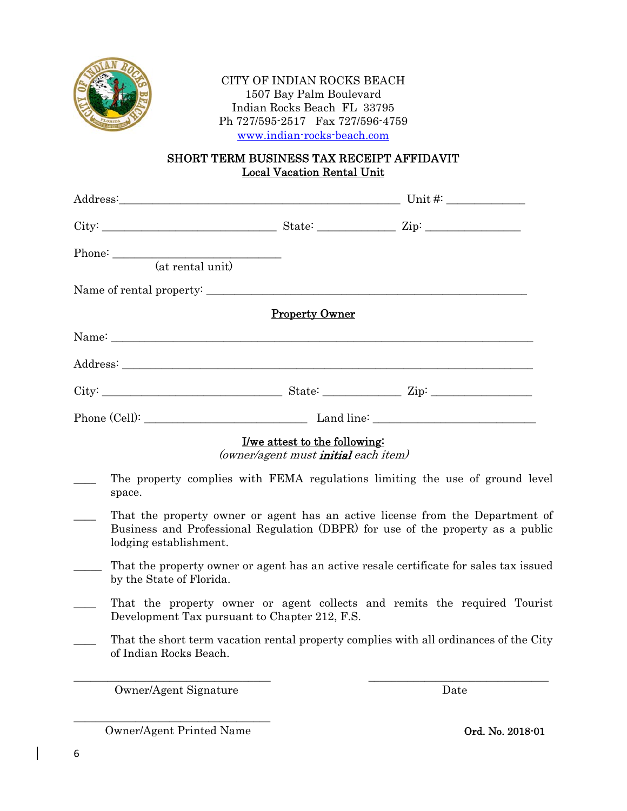

### CITY OF INDIAN ROCKS BEACH 1507 Bay Palm Boulevard Indian Rocks Beach FL 33795 Ph 727/595-2517 Fax 727/596-4759 www.indian-rocks-beach.com

# SHORT TERM BUSINESS TAX RECEIPT AFFIDAVIT Local Vacation Rental Unit

| (at rental unit)       |                                                                                              |                                                                                                                                                                  |  |
|------------------------|----------------------------------------------------------------------------------------------|------------------------------------------------------------------------------------------------------------------------------------------------------------------|--|
|                        |                                                                                              |                                                                                                                                                                  |  |
|                        | <b>Property Owner</b>                                                                        |                                                                                                                                                                  |  |
|                        |                                                                                              |                                                                                                                                                                  |  |
|                        |                                                                                              |                                                                                                                                                                  |  |
|                        |                                                                                              | $City:$ $City:$ $Zip:$ $Zip:$ $Zip:$ $\Box$                                                                                                                      |  |
|                        |                                                                                              |                                                                                                                                                                  |  |
|                        | <u>I/we attest to the following:</u><br>( <i>owner/agent must <b>initial</b> each item</i> ) |                                                                                                                                                                  |  |
| space.                 |                                                                                              | The property complies with FEMA regulations limiting the use of ground level                                                                                     |  |
| lodging establishment. |                                                                                              | That the property owner or agent has an active license from the Department of<br>Business and Professional Regulation (DBPR) for use of the property as a public |  |
|                        |                                                                                              | That the property owner or goent has an active resale certificate for sales tax issued                                                                           |  |

- That the property owner or agent has an active resale certificate for sales tax issued by the State of Florida.
- That the property owner or agent collects and remits the required Tourist Development Tax pursuant to Chapter 212, F.S.
- That the short term vacation rental property complies with all ordinances of the City of Indian Rocks Beach.

\_\_\_\_\_\_\_\_\_\_\_\_\_\_\_\_\_\_\_\_\_\_\_\_\_\_\_\_\_\_\_\_\_\_\_ \_\_\_\_\_\_\_\_\_\_\_\_\_\_\_\_\_\_\_\_\_\_\_\_\_\_\_\_\_\_\_\_

Owner/Agent Signature Date

\_\_\_\_\_\_\_\_\_\_\_\_\_\_\_\_\_\_\_\_\_\_\_\_\_\_\_\_\_\_\_\_\_\_\_ Owner/Agent Printed Name **Ord. No. 2018-01**